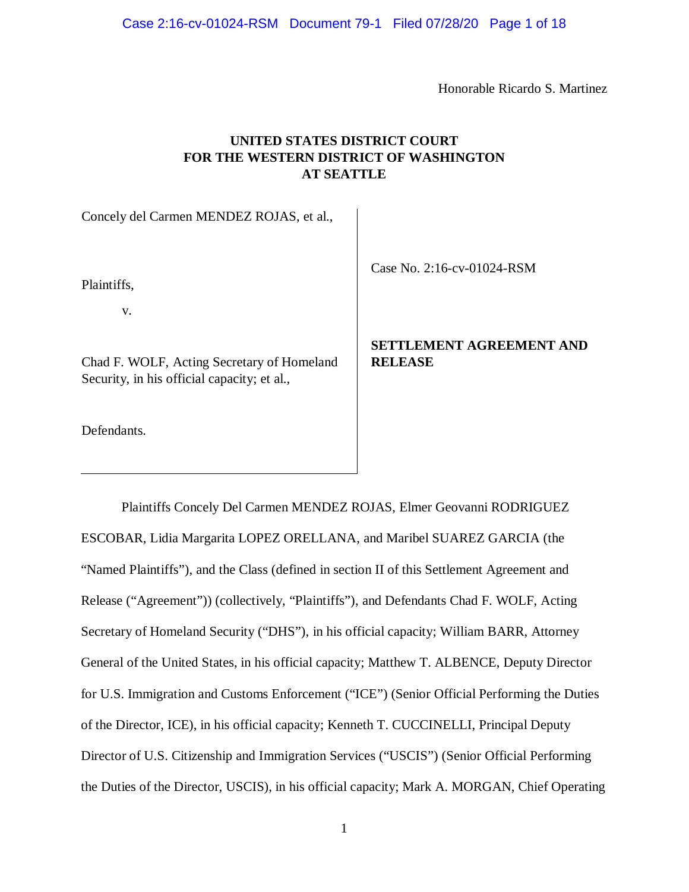Honorable Ricardo S. Martinez

# **UNITED STATES DISTRICT COURT FOR THE WESTERN DISTRICT OF WASHINGTON AT SEATTLE**

Concely del Carmen MENDEZ ROJAS, et al.,

Plaintiffs,

v.

Chad F. WOLF, Acting Secretary of Homeland Security, in his official capacity; et al.,

Defendants.

Case No. 2:16-cv-01024-RSM

# **SETTLEMENT AGREEMENT AND RELEASE**

Plaintiffs Concely Del Carmen MENDEZ ROJAS, Elmer Geovanni RODRIGUEZ ESCOBAR, Lidia Margarita LOPEZ ORELLANA, and Maribel SUAREZ GARCIA (the "Named Plaintiffs"), and the Class (defined in section II of this Settlement Agreement and Release ("Agreement")) (collectively, "Plaintiffs"), and Defendants Chad F. WOLF, Acting Secretary of Homeland Security ("DHS"), in his official capacity; William BARR, Attorney General of the United States, in his official capacity; Matthew T. ALBENCE, Deputy Director for U.S. Immigration and Customs Enforcement ("ICE") (Senior Official Performing the Duties of the Director, ICE), in his official capacity; Kenneth T. CUCCINELLI, Principal Deputy Director of U.S. Citizenship and Immigration Services ("USCIS") (Senior Official Performing the Duties of the Director, USCIS), in his official capacity; Mark A. MORGAN, Chief Operating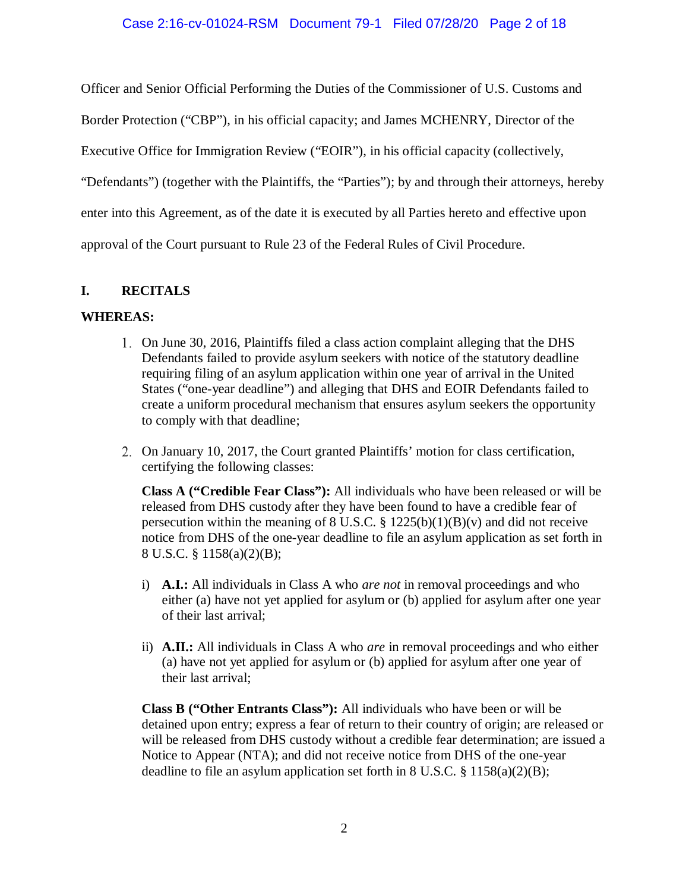Officer and Senior Official Performing the Duties of the Commissioner of U.S. Customs and

Border Protection ("CBP"), in his official capacity; and James MCHENRY, Director of the

Executive Office for Immigration Review ("EOIR"), in his official capacity (collectively,

"Defendants") (together with the Plaintiffs, the "Parties"); by and through their attorneys, hereby

enter into this Agreement, as of the date it is executed by all Parties hereto and effective upon

approval of the Court pursuant to Rule 23 of the Federal Rules of Civil Procedure.

# **I. RECITALS**

### **WHEREAS:**

- On June 30, 2016, Plaintiffs filed a class action complaint alleging that the DHS Defendants failed to provide asylum seekers with notice of the statutory deadline requiring filing of an asylum application within one year of arrival in the United States ("one-year deadline") and alleging that DHS and EOIR Defendants failed to create a uniform procedural mechanism that ensures asylum seekers the opportunity to comply with that deadline;
- On January 10, 2017, the Court granted Plaintiffs' motion for class certification, certifying the following classes:

**Class A ("Credible Fear Class"):** All individuals who have been released or will be released from DHS custody after they have been found to have a credible fear of persecution within the meaning of 8 U.S.C.  $\S$  1225(b)(1)(B)(v) and did not receive notice from DHS of the one-year deadline to file an asylum application as set forth in 8 U.S.C. § 1158(a)(2)(B);

- i) **A.I.:** All individuals in Class A who *are not* in removal proceedings and who either (a) have not yet applied for asylum or (b) applied for asylum after one year of their last arrival;
- ii) **A.II.:** All individuals in Class A who *are* in removal proceedings and who either (a) have not yet applied for asylum or (b) applied for asylum after one year of their last arrival;

**Class B ("Other Entrants Class"):** All individuals who have been or will be detained upon entry; express a fear of return to their country of origin; are released or will be released from DHS custody without a credible fear determination; are issued a Notice to Appear (NTA); and did not receive notice from DHS of the one-year deadline to file an asylum application set forth in 8 U.S.C.  $\S$  1158(a)(2)(B);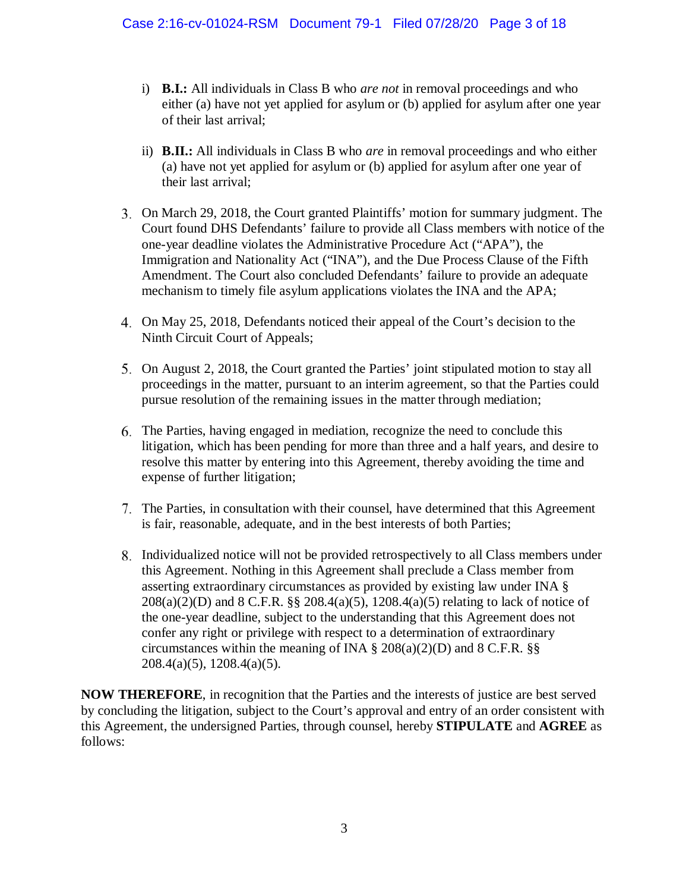- i) **B.I.:** All individuals in Class B who *are not* in removal proceedings and who either (a) have not yet applied for asylum or (b) applied for asylum after one year of their last arrival;
- ii) **B.II.:** All individuals in Class B who *are* in removal proceedings and who either (a) have not yet applied for asylum or (b) applied for asylum after one year of their last arrival;
- On March 29, 2018, the Court granted Plaintiffs' motion for summary judgment. The Court found DHS Defendants' failure to provide all Class members with notice of the one-year deadline violates the Administrative Procedure Act ("APA"), the Immigration and Nationality Act ("INA"), and the Due Process Clause of the Fifth Amendment. The Court also concluded Defendants' failure to provide an adequate mechanism to timely file asylum applications violates the INA and the APA;
- On May 25, 2018, Defendants noticed their appeal of the Court's decision to the Ninth Circuit Court of Appeals;
- On August 2, 2018, the Court granted the Parties' joint stipulated motion to stay all proceedings in the matter, pursuant to an interim agreement, so that the Parties could pursue resolution of the remaining issues in the matter through mediation;
- The Parties, having engaged in mediation, recognize the need to conclude this litigation, which has been pending for more than three and a half years, and desire to resolve this matter by entering into this Agreement, thereby avoiding the time and expense of further litigation;
- The Parties, in consultation with their counsel, have determined that this Agreement is fair, reasonable, adequate, and in the best interests of both Parties;
- Individualized notice will not be provided retrospectively to all Class members under this Agreement. Nothing in this Agreement shall preclude a Class member from asserting extraordinary circumstances as provided by existing law under INA § 208(a)(2)(D) and 8 C.F.R. §§ 208.4(a)(5), 1208.4(a)(5) relating to lack of notice of the one-year deadline, subject to the understanding that this Agreement does not confer any right or privilege with respect to a determination of extraordinary circumstances within the meaning of INA  $\S$  208(a)(2)(D) and 8 C.F.R.  $\S$ § 208.4(a)(5), 1208.4(a)(5).

**NOW THEREFORE**, in recognition that the Parties and the interests of justice are best served by concluding the litigation, subject to the Court's approval and entry of an order consistent with this Agreement, the undersigned Parties, through counsel, hereby **STIPULATE** and **AGREE** as follows: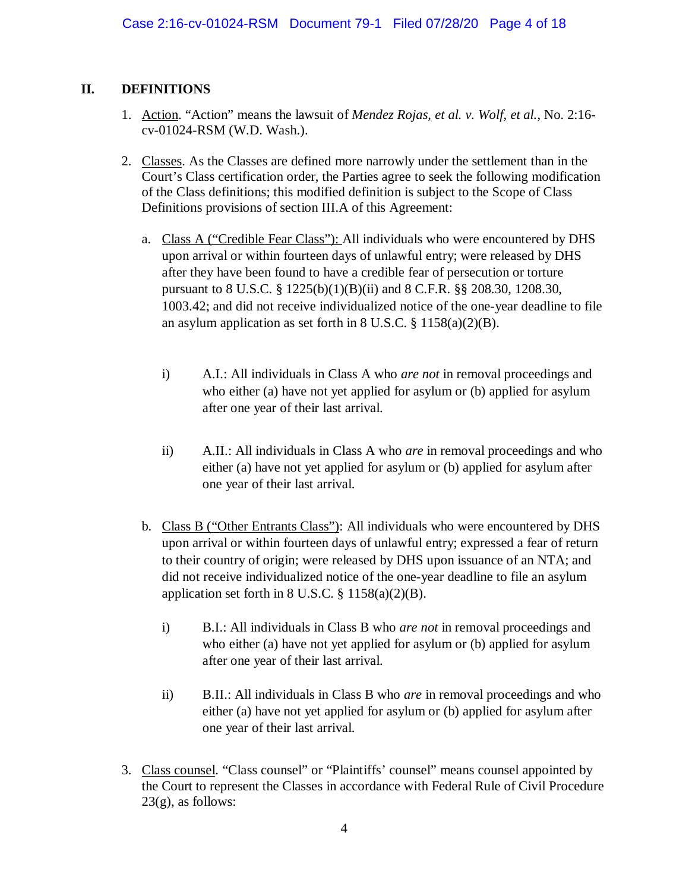# **II. DEFINITIONS**

- 1. Action. "Action" means the lawsuit of *Mendez Rojas, et al. v. Wolf, et al.*, No. 2:16 cv-01024-RSM (W.D. Wash.).
- 2. Classes. As the Classes are defined more narrowly under the settlement than in the Court's Class certification order, the Parties agree to seek the following modification of the Class definitions; this modified definition is subject to the Scope of Class Definitions provisions of section III.A of this Agreement:
	- a. Class A ("Credible Fear Class"): All individuals who were encountered by DHS upon arrival or within fourteen days of unlawful entry; were released by DHS after they have been found to have a credible fear of persecution or torture pursuant to 8 U.S.C. § 1225(b)(1)(B)(ii) and 8 C.F.R. §§ 208.30, 1208.30, 1003.42; and did not receive individualized notice of the one-year deadline to file an asylum application as set forth in 8 U.S.C.  $\S$  1158(a)(2)(B).
		- i) A.I.: All individuals in Class A who *are not* in removal proceedings and who either (a) have not yet applied for asylum or (b) applied for asylum after one year of their last arrival.
		- ii) A.II.: All individuals in Class A who *are* in removal proceedings and who either (a) have not yet applied for asylum or (b) applied for asylum after one year of their last arrival.
	- b. Class B ("Other Entrants Class"): All individuals who were encountered by DHS upon arrival or within fourteen days of unlawful entry; expressed a fear of return to their country of origin; were released by DHS upon issuance of an NTA; and did not receive individualized notice of the one-year deadline to file an asylum application set forth in  $8 \text{ U.S.C. } § 1158(a)(2)(B)$ .
		- i) B.I.: All individuals in Class B who *are not* in removal proceedings and who either (a) have not yet applied for asylum or (b) applied for asylum after one year of their last arrival.
		- ii) B.II.: All individuals in Class B who *are* in removal proceedings and who either (a) have not yet applied for asylum or (b) applied for asylum after one year of their last arrival.
- 3. Class counsel. "Class counsel" or "Plaintiffs' counsel" means counsel appointed by the Court to represent the Classes in accordance with Federal Rule of Civil Procedure  $23(g)$ , as follows: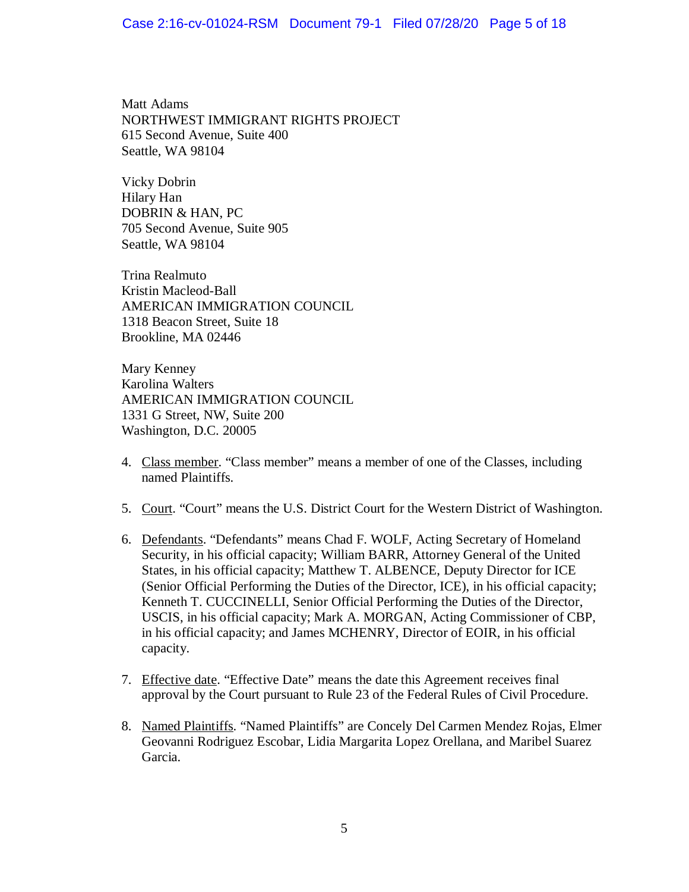Matt Adams NORTHWEST IMMIGRANT RIGHTS PROJECT 615 Second Avenue, Suite 400 Seattle, WA 98104

Vicky Dobrin Hilary Han DOBRIN & HAN, PC 705 Second Avenue, Suite 905 Seattle, WA 98104

Trina Realmuto Kristin Macleod-Ball AMERICAN IMMIGRATION COUNCIL 1318 Beacon Street, Suite 18 Brookline, MA 02446

Mary Kenney Karolina Walters AMERICAN IMMIGRATION COUNCIL 1331 G Street, NW, Suite 200 Washington, D.C. 20005

- 4. Class member. "Class member" means a member of one of the Classes, including named Plaintiffs.
- 5. Court. "Court" means the U.S. District Court for the Western District of Washington.
- 6. Defendants. "Defendants" means Chad F. WOLF, Acting Secretary of Homeland Security, in his official capacity; William BARR, Attorney General of the United States, in his official capacity; Matthew T. ALBENCE, Deputy Director for ICE (Senior Official Performing the Duties of the Director, ICE), in his official capacity; Kenneth T. CUCCINELLI, Senior Official Performing the Duties of the Director, USCIS, in his official capacity; Mark A. MORGAN, Acting Commissioner of CBP, in his official capacity; and James MCHENRY, Director of EOIR, in his official capacity.
- 7. Effective date. "Effective Date" means the date this Agreement receives final approval by the Court pursuant to Rule 23 of the Federal Rules of Civil Procedure.
- 8. Named Plaintiffs. "Named Plaintiffs" are Concely Del Carmen Mendez Rojas, Elmer Geovanni Rodriguez Escobar, Lidia Margarita Lopez Orellana, and Maribel Suarez Garcia.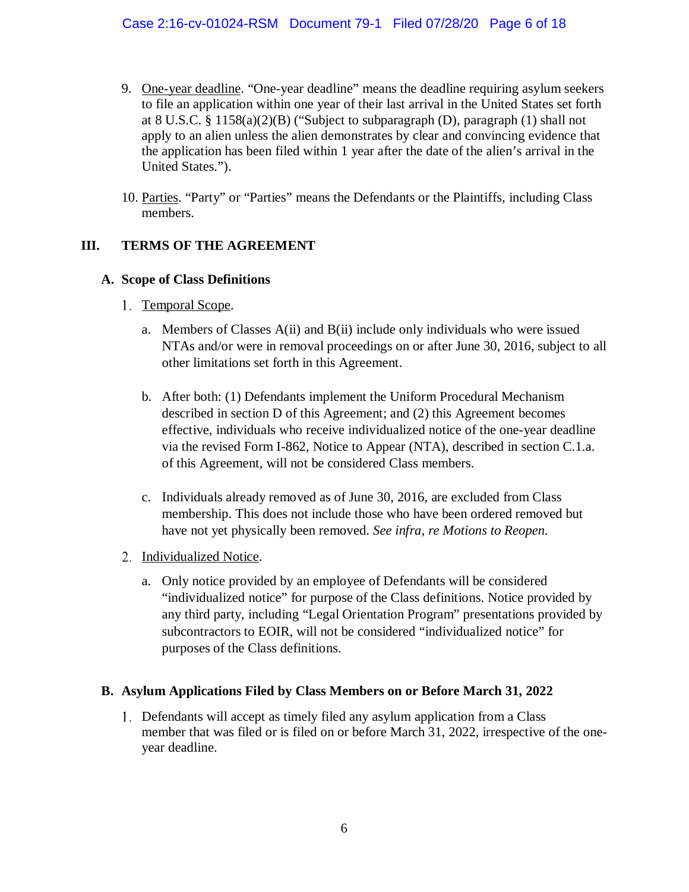- 9. One-year deadline. "One-year deadline" means the deadline requiring asylum seekers to file an application within one year of their last arrival in the United States set forth at 8 U.S.C. § 1158(a)(2)(B) ("Subject to subparagraph (D), paragraph (1) shall not apply to an alien unless the alien demonstrates by clear and convincing evidence that the application has been filed within 1 year after the date of the alien's arrival in the United States.").
- 10. Parties. "Party" or "Parties" means the Defendants or the Plaintiffs, including Class members.

# **III. TERMS OF THE AGREEMENT**

### **A. Scope of Class Definitions**

- 1. Temporal Scope.
	- a. Members of Classes  $A(ii)$  and  $B(ii)$  include only individuals who were issued NTAs and/or were in removal proceedings on or after June 30, 2016, subject to all other limitations set forth in this Agreement.
	- b. After both: (1) Defendants implement the Uniform Procedural Mechanism described in section D of this Agreement; and (2) this Agreement becomes effective, individuals who receive individualized notice of the one-year deadline via the revised Form I-862, Notice to Appear (NTA), described in section C.1.a. of this Agreement, will not be considered Class members.
	- c. Individuals already removed as of June 30, 2016, are excluded from Class membership. This does not include those who have been ordered removed but have not yet physically been removed. *See infra, re Motions to Reopen.*
- 2. Individualized Notice.
	- a. Only notice provided by an employee of Defendants will be considered "individualized notice" for purpose of the Class definitions. Notice provided by any third party, including "Legal Orientation Program" presentations provided by subcontractors to EOIR, will not be considered "individualized notice" for purposes of the Class definitions.

### **B. Asylum Applications Filed by Class Members on or Before March 31, 2022**

Defendants will accept as timely filed any asylum application from a Class member that was filed or is filed on or before March 31, 2022, irrespective of the oneyear deadline.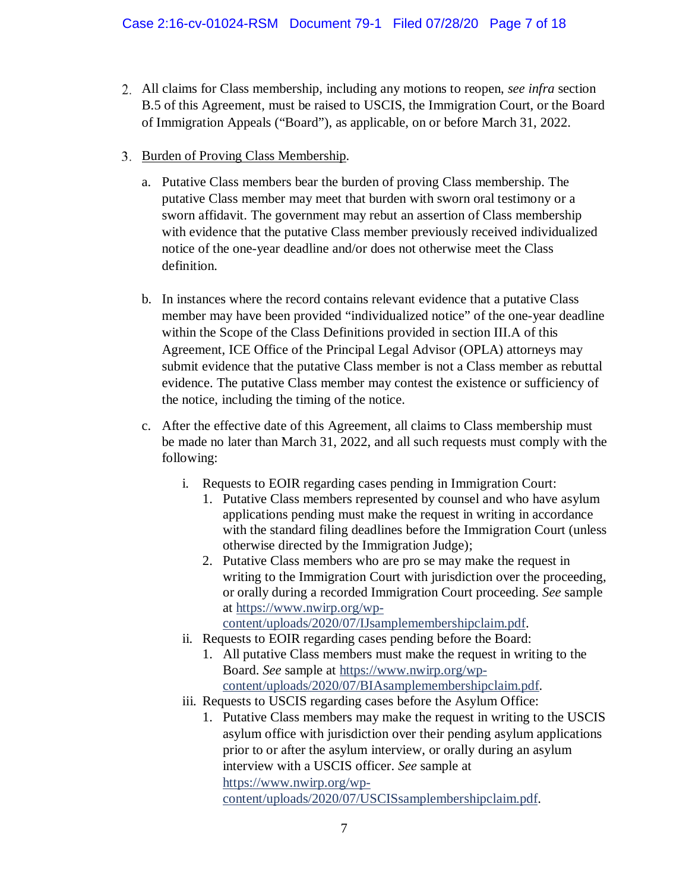- All claims for Class membership, including any motions to reopen, *see infra* section B.5 of this Agreement, must be raised to USCIS, the Immigration Court, or the Board of Immigration Appeals ("Board"), as applicable, on or before March 31, 2022.
- 3. Burden of Proving Class Membership.
	- a. Putative Class members bear the burden of proving Class membership. The putative Class member may meet that burden with sworn oral testimony or a sworn affidavit. The government may rebut an assertion of Class membership with evidence that the putative Class member previously received individualized notice of the one-year deadline and/or does not otherwise meet the Class definition.
	- b. In instances where the record contains relevant evidence that a putative Class member may have been provided "individualized notice" of the one-year deadline within the Scope of the Class Definitions provided in section III.A of this Agreement, ICE Office of the Principal Legal Advisor (OPLA) attorneys may submit evidence that the putative Class member is not a Class member as rebuttal evidence. The putative Class member may contest the existence or sufficiency of the notice, including the timing of the notice.
	- c. After the effective date of this Agreement, all claims to Class membership must be made no later than March 31, 2022, and all such requests must comply with the following:
		- i. Requests to EOIR regarding cases pending in Immigration Court:
			- 1. Putative Class members represented by counsel and who have asylum applications pending must make the request in writing in accordance with the standard filing deadlines before the Immigration Court (unless otherwise directed by the Immigration Judge);
			- 2. Putative Class members who are pro se may make the request in writing to the Immigration Court with jurisdiction over the proceeding, or orally during a recorded Immigration Court proceeding. *See* sample at [https://www.nwirp.org/wp-](https://www.nwirp.org/wp-content/uploads/2020/07/IJsamplemembershipclaim.pdf)

[content/uploads/2020/07/IJsamplemembershipclaim.pdf.](https://www.nwirp.org/wp-content/uploads/2020/07/IJsamplemembershipclaim.pdf)

- ii. Requests to EOIR regarding cases pending before the Board:
	- 1. All putative Class members must make the request in writing to the Board. *See* sample at [https://www.nwirp.org/wp](https://www.nwirp.org/wp-content/uploads/2020/07/BIAsamplemembershipclaim.pdf)[content/uploads/2020/07/BIAsamplemembershipclaim.pdf.](https://www.nwirp.org/wp-content/uploads/2020/07/BIAsamplemembershipclaim.pdf)
- iii. Requests to USCIS regarding cases before the Asylum Office:
	- 1. Putative Class members may make the request in writing to the USCIS asylum office with jurisdiction over their pending asylum applications prior to or after the asylum interview, or orally during an asylum interview with a USCIS officer. *See* sample at [https://www.nwirp.org/wp](https://www.nwirp.org/wp-content/uploads/2020/07/USCISsamplembershipclaim.pdf)[content/uploads/2020/07/USCISsamplembershipclaim.pdf.](https://www.nwirp.org/wp-content/uploads/2020/07/USCISsamplembershipclaim.pdf)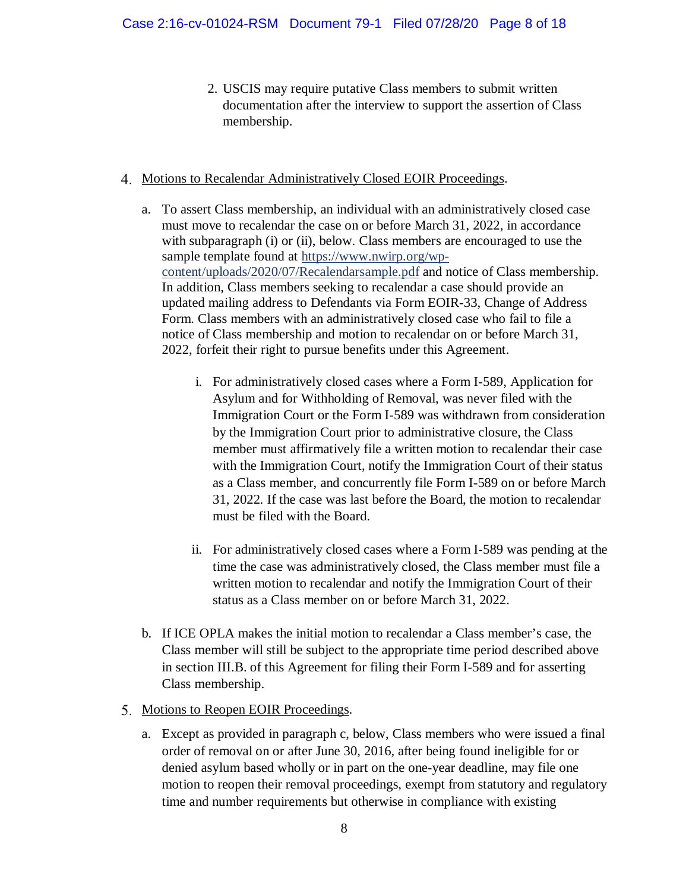- 2. USCIS may require putative Class members to submit written documentation after the interview to support the assertion of Class membership.
- 4. Motions to Recalendar Administratively Closed EOIR Proceedings.
	- a. To assert Class membership, an individual with an administratively closed case must move to recalendar the case on or before March 31, 2022, in accordance with subparagraph (i) or (ii), below. Class members are encouraged to use the sample template found at [https://www.nwirp.org/wp](https://www.nwirp.org/wp-content/uploads/2020/07/Recalendarsample.pdf)[content/uploads/2020/07/Recalendarsample.pdf](https://www.nwirp.org/wp-content/uploads/2020/07/Recalendarsample.pdf) and notice of Class membership. In addition, Class members seeking to recalendar a case should provide an updated mailing address to Defendants via Form EOIR-33, Change of Address Form. Class members with an administratively closed case who fail to file a notice of Class membership and motion to recalendar on or before March 31, 2022, forfeit their right to pursue benefits under this Agreement.
		- i. For administratively closed cases where a Form I-589, Application for Asylum and for Withholding of Removal, was never filed with the Immigration Court or the Form I-589 was withdrawn from consideration by the Immigration Court prior to administrative closure, the Class member must affirmatively file a written motion to recalendar their case with the Immigration Court, notify the Immigration Court of their status as a Class member, and concurrently file Form I-589 on or before March 31, 2022. If the case was last before the Board, the motion to recalendar must be filed with the Board.
		- ii. For administratively closed cases where a Form I-589 was pending at the time the case was administratively closed, the Class member must file a written motion to recalendar and notify the Immigration Court of their status as a Class member on or before March 31, 2022.
	- b. If ICE OPLA makes the initial motion to recalendar a Class member's case, the Class member will still be subject to the appropriate time period described above in section III.B. of this Agreement for filing their Form I-589 and for asserting Class membership.
- 5. Motions to Reopen EOIR Proceedings.
	- a. Except as provided in paragraph c, below, Class members who were issued a final order of removal on or after June 30, 2016, after being found ineligible for or denied asylum based wholly or in part on the one-year deadline, may file one motion to reopen their removal proceedings, exempt from statutory and regulatory time and number requirements but otherwise in compliance with existing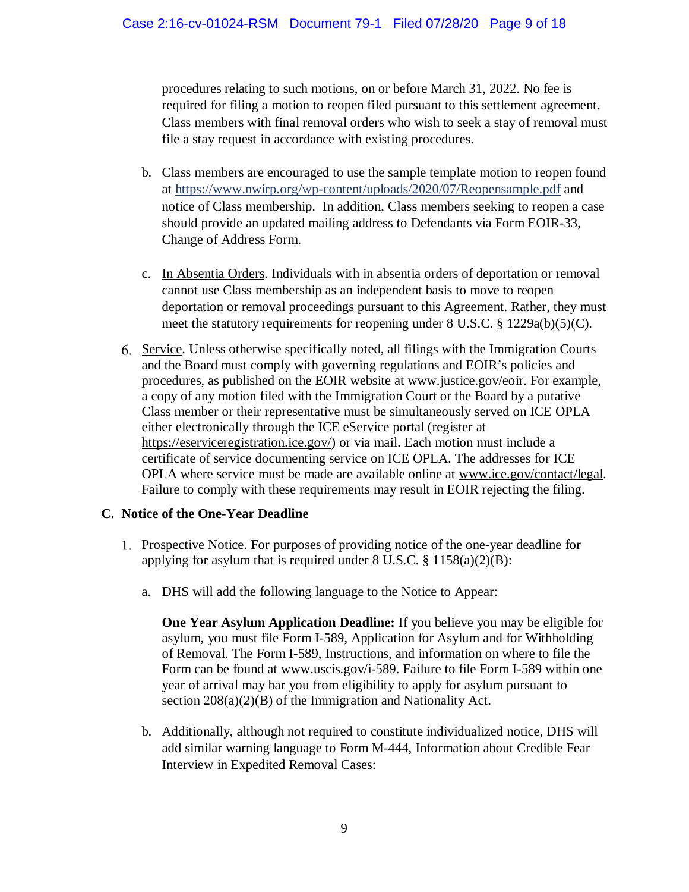procedures relating to such motions, on or before March 31, 2022. No fee is required for filing a motion to reopen filed pursuant to this settlement agreement. Class members with final removal orders who wish to seek a stay of removal must file a stay request in accordance with existing procedures.

- b. Class members are encouraged to use the sample template motion to reopen found at<https://www.nwirp.org/wp-content/uploads/2020/07/Reopensample.pdf> and notice of Class membership. In addition, Class members seeking to reopen a case should provide an updated mailing address to Defendants via Form EOIR-33, Change of Address Form.
- c. In Absentia Orders. Individuals with in absentia orders of deportation or removal cannot use Class membership as an independent basis to move to reopen deportation or removal proceedings pursuant to this Agreement. Rather, they must meet the statutory requirements for reopening under 8 U.S.C. § 1229a(b)(5)(C).
- Service. Unless otherwise specifically noted, all filings with the Immigration Courts and the Board must comply with governing regulations and EOIR's policies and procedures, as published on the EOIR website at [www.justice.gov/eoir.](http://www.justice.gov/eoir) For example, a copy of any motion filed with the Immigration Court or the Board by a putative Class member or their representative must be simultaneously served on ICE OPLA either electronically through the ICE eService portal (register at [https://eserviceregistration.ice.gov/\)](https://eserviceregistration.ice.gov/) or via mail. Each motion must include a certificate of service documenting service on ICE OPLA. The addresses for ICE OPLA where service must be made are available online at [www.ice.gov/contact/legal.](http://www.ice.gov/contact/legal) Failure to comply with these requirements may result in EOIR rejecting the filing.

### **C. Notice of the One-Year Deadline**

- Prospective Notice. For purposes of providing notice of the one-year deadline for applying for asylum that is required under  $8 \text{ U.S.C. } \frac{8}{3} \frac{1158(a)(2)(B)}{2}$ :
	- a. DHS will add the following language to the Notice to Appear:

**One Year Asylum Application Deadline:** If you believe you may be eligible for asylum, you must file Form I-589, Application for Asylum and for Withholding of Removal. The Form I-589, Instructions, and information on where to file the Form can be found at www.uscis.gov/i-589. Failure to file Form I-589 within one year of arrival may bar you from eligibility to apply for asylum pursuant to section  $208(a)(2)(B)$  of the Immigration and Nationality Act.

b. Additionally, although not required to constitute individualized notice, DHS will add similar warning language to Form M-444, Information about Credible Fear Interview in Expedited Removal Cases: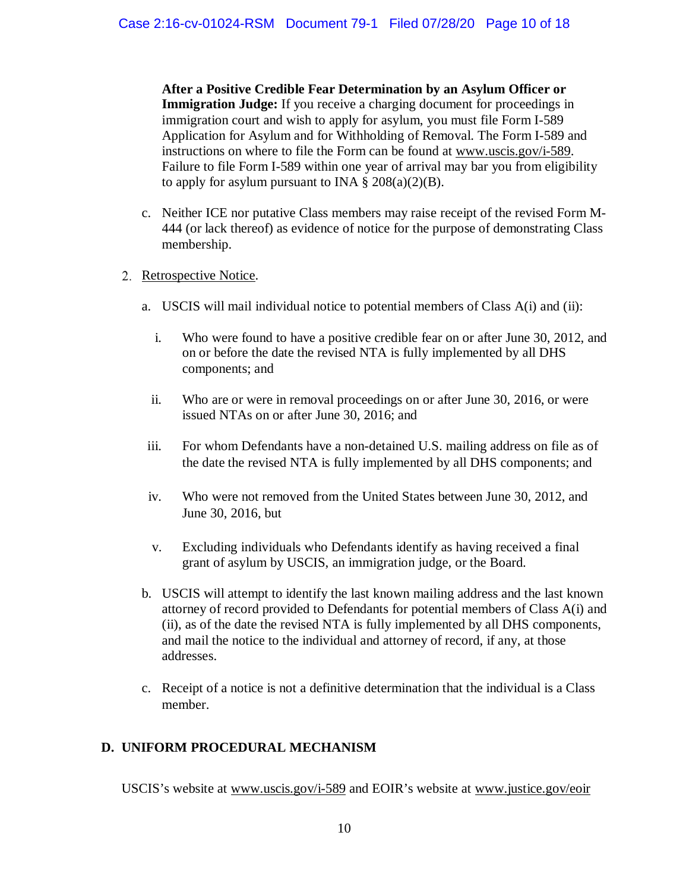**After a Positive Credible Fear Determination by an Asylum Officer or Immigration Judge:** If you receive a charging document for proceedings in immigration court and wish to apply for asylum, you must file Form I-589 Application for Asylum and for Withholding of Removal. The Form I-589 and instructions on where to file the Form can be found at [www.uscis.gov/i-589.](http://www.uscis.gov/i-589) Failure to file Form I-589 within one year of arrival may bar you from eligibility to apply for asylum pursuant to INA  $\S 208(a)(2)(B)$ .

- c. Neither ICE nor putative Class members may raise receipt of the revised Form M-444 (or lack thereof) as evidence of notice for the purpose of demonstrating Class membership.
- 2. Retrospective Notice.
	- a. USCIS will mail individual notice to potential members of Class A(i) and (ii):
		- i. Who were found to have a positive credible fear on or after June 30, 2012, and on or before the date the revised NTA is fully implemented by all DHS components; and
		- ii. Who are or were in removal proceedings on or after June 30, 2016, or were issued NTAs on or after June 30, 2016; and
	- iii. For whom Defendants have a non-detained U.S. mailing address on file as of the date the revised NTA is fully implemented by all DHS components; and
	- iv. Who were not removed from the United States between June 30, 2012, and June 30, 2016, but
	- v. Excluding individuals who Defendants identify as having received a final grant of asylum by USCIS, an immigration judge, or the Board.
	- b. USCIS will attempt to identify the last known mailing address and the last known attorney of record provided to Defendants for potential members of Class A(i) and (ii), as of the date the revised NTA is fully implemented by all DHS components, and mail the notice to the individual and attorney of record, if any, at those addresses.
	- c. Receipt of a notice is not a definitive determination that the individual is a Class member.

### **D. UNIFORM PROCEDURAL MECHANISM**

USCIS's website at [www.uscis.gov/i-589](http://www.uscis.gov/i-589) and EOIR's website at [www.justice.gov/eoir](http://www.justice.gov/eoir)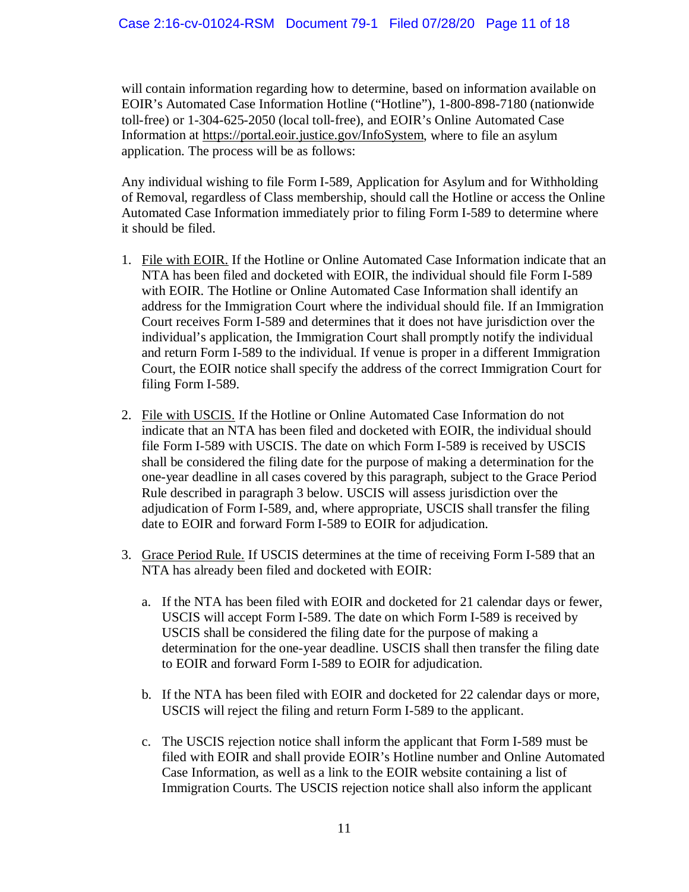will contain information regarding how to determine, based on information available on EOIR's Automated Case Information Hotline ("Hotline"), 1-800-898-7180 (nationwide toll-free) or 1-304-625-2050 (local toll-free), and EOIR's Online Automated Case Information at [https://portal.eoir.justice.gov/InfoSystem,](https://portal.eoir.justice.gov/InfoSystem) where to file an asylum application. The process will be as follows:

Any individual wishing to file Form I-589, Application for Asylum and for Withholding of Removal, regardless of Class membership, should call the Hotline or access the Online Automated Case Information immediately prior to filing Form I-589 to determine where it should be filed.

- 1. File with EOIR. If the Hotline or Online Automated Case Information indicate that an NTA has been filed and docketed with EOIR, the individual should file Form I-589 with EOIR. The Hotline or Online Automated Case Information shall identify an address for the Immigration Court where the individual should file. If an Immigration Court receives Form I-589 and determines that it does not have jurisdiction over the individual's application, the Immigration Court shall promptly notify the individual and return Form I-589 to the individual. If venue is proper in a different Immigration Court, the EOIR notice shall specify the address of the correct Immigration Court for filing Form I-589.
- 2. File with USCIS. If the Hotline or Online Automated Case Information do not indicate that an NTA has been filed and docketed with EOIR, the individual should file Form I-589 with USCIS. The date on which Form I-589 is received by USCIS shall be considered the filing date for the purpose of making a determination for the one-year deadline in all cases covered by this paragraph, subject to the Grace Period Rule described in paragraph 3 below. USCIS will assess jurisdiction over the adjudication of Form I-589, and, where appropriate, USCIS shall transfer the filing date to EOIR and forward Form I-589 to EOIR for adjudication.
- 3. Grace Period Rule. If USCIS determines at the time of receiving Form I-589 that an NTA has already been filed and docketed with EOIR:
	- a. If the NTA has been filed with EOIR and docketed for 21 calendar days or fewer, USCIS will accept Form I-589. The date on which Form I-589 is received by USCIS shall be considered the filing date for the purpose of making a determination for the one-year deadline. USCIS shall then transfer the filing date to EOIR and forward Form I-589 to EOIR for adjudication.
	- b. If the NTA has been filed with EOIR and docketed for 22 calendar days or more, USCIS will reject the filing and return Form I-589 to the applicant.
	- c. The USCIS rejection notice shall inform the applicant that Form I-589 must be filed with EOIR and shall provide EOIR's Hotline number and Online Automated Case Information, as well as a link to the EOIR website containing a list of Immigration Courts. The USCIS rejection notice shall also inform the applicant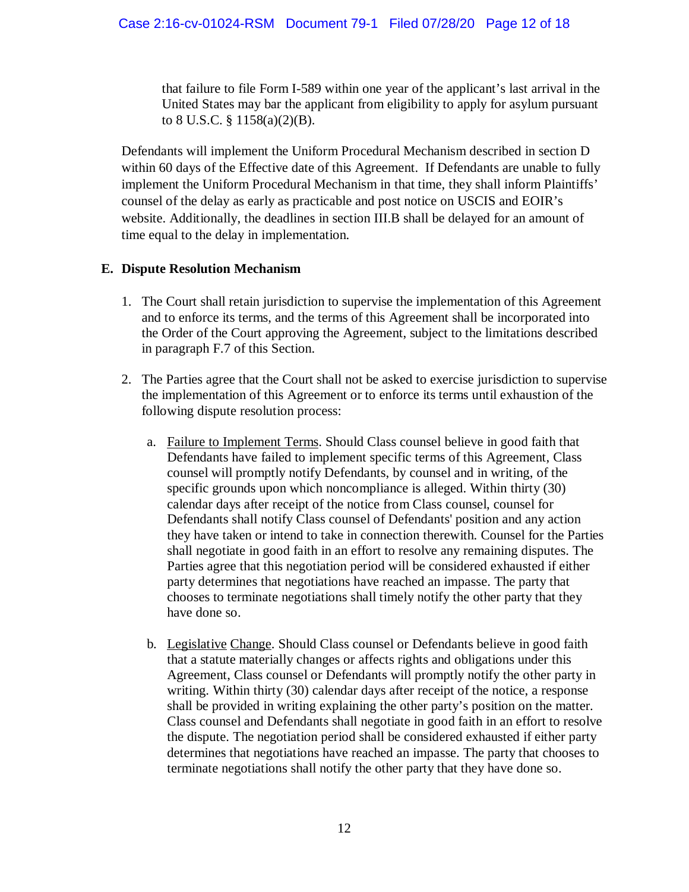that failure to file Form I-589 within one year of the applicant's last arrival in the United States may bar the applicant from eligibility to apply for asylum pursuant to 8 U.S.C. § 1158(a)(2)(B).

Defendants will implement the Uniform Procedural Mechanism described in section D within 60 days of the Effective date of this Agreement. If Defendants are unable to fully implement the Uniform Procedural Mechanism in that time, they shall inform Plaintiffs' counsel of the delay as early as practicable and post notice on USCIS and EOIR's website. Additionally, the deadlines in section III.B shall be delayed for an amount of time equal to the delay in implementation.

# **E. Dispute Resolution Mechanism**

- 1. The Court shall retain jurisdiction to supervise the implementation of this Agreement and to enforce its terms, and the terms of this Agreement shall be incorporated into the Order of the Court approving the Agreement, subject to the limitations described in paragraph F.7 of this Section.
- 2. The Parties agree that the Court shall not be asked to exercise jurisdiction to supervise the implementation of this Agreement or to enforce its terms until exhaustion of the following dispute resolution process:
	- a. Failure to Implement Terms. Should Class counsel believe in good faith that Defendants have failed to implement specific terms of this Agreement, Class counsel will promptly notify Defendants, by counsel and in writing, of the specific grounds upon which noncompliance is alleged. Within thirty (30) calendar days after receipt of the notice from Class counsel, counsel for Defendants shall notify Class counsel of Defendants' position and any action they have taken or intend to take in connection therewith. Counsel for the Parties shall negotiate in good faith in an effort to resolve any remaining disputes. The Parties agree that this negotiation period will be considered exhausted if either party determines that negotiations have reached an impasse. The party that chooses to terminate negotiations shall timely notify the other party that they have done so.
	- b. Legislative Change. Should Class counsel or Defendants believe in good faith that a statute materially changes or affects rights and obligations under this Agreement, Class counsel or Defendants will promptly notify the other party in writing. Within thirty (30) calendar days after receipt of the notice, a response shall be provided in writing explaining the other party's position on the matter. Class counsel and Defendants shall negotiate in good faith in an effort to resolve the dispute. The negotiation period shall be considered exhausted if either party determines that negotiations have reached an impasse. The party that chooses to terminate negotiations shall notify the other party that they have done so.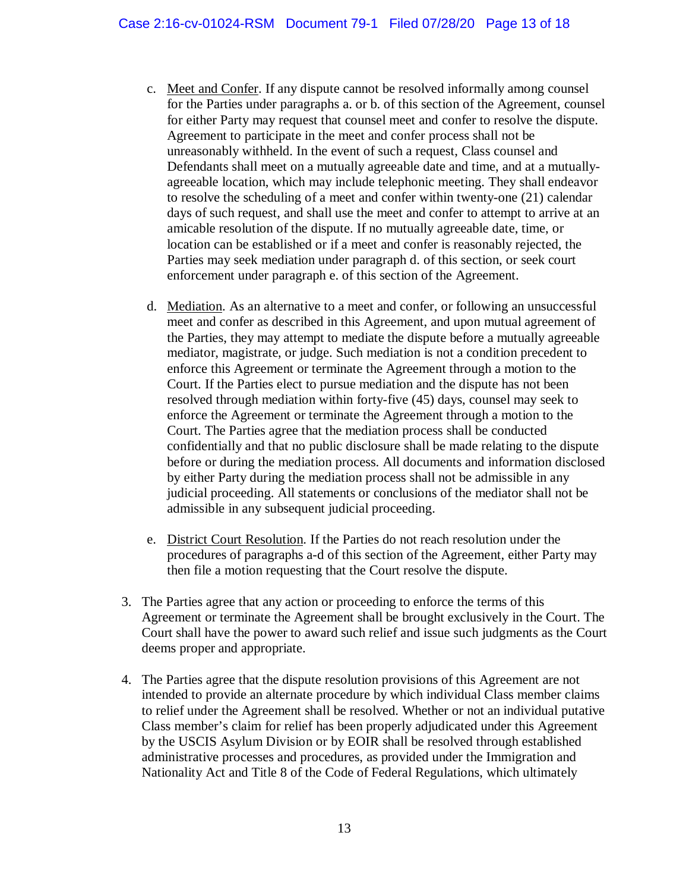- c. Meet and Confer. If any dispute cannot be resolved informally among counsel for the Parties under paragraphs a. or b. of this section of the Agreement, counsel for either Party may request that counsel meet and confer to resolve the dispute. Agreement to participate in the meet and confer process shall not be unreasonably withheld. In the event of such a request, Class counsel and Defendants shall meet on a mutually agreeable date and time, and at a mutuallyagreeable location, which may include telephonic meeting. They shall endeavor to resolve the scheduling of a meet and confer within twenty-one (21) calendar days of such request, and shall use the meet and confer to attempt to arrive at an amicable resolution of the dispute. If no mutually agreeable date, time, or location can be established or if a meet and confer is reasonably rejected, the Parties may seek mediation under paragraph d. of this section, or seek court enforcement under paragraph e. of this section of the Agreement.
- d. Mediation. As an alternative to a meet and confer, or following an unsuccessful meet and confer as described in this Agreement, and upon mutual agreement of the Parties, they may attempt to mediate the dispute before a mutually agreeable mediator, magistrate, or judge. Such mediation is not a condition precedent to enforce this Agreement or terminate the Agreement through a motion to the Court. If the Parties elect to pursue mediation and the dispute has not been resolved through mediation within forty-five (45) days, counsel may seek to enforce the Agreement or terminate the Agreement through a motion to the Court. The Parties agree that the mediation process shall be conducted confidentially and that no public disclosure shall be made relating to the dispute before or during the mediation process. All documents and information disclosed by either Party during the mediation process shall not be admissible in any judicial proceeding. All statements or conclusions of the mediator shall not be admissible in any subsequent judicial proceeding.
- e. District Court Resolution. If the Parties do not reach resolution under the procedures of paragraphs a-d of this section of the Agreement, either Party may then file a motion requesting that the Court resolve the dispute.
- 3. The Parties agree that any action or proceeding to enforce the terms of this Agreement or terminate the Agreement shall be brought exclusively in the Court. The Court shall have the power to award such relief and issue such judgments as the Court deems proper and appropriate.
- 4. The Parties agree that the dispute resolution provisions of this Agreement are not intended to provide an alternate procedure by which individual Class member claims to relief under the Agreement shall be resolved. Whether or not an individual putative Class member's claim for relief has been properly adjudicated under this Agreement by the USCIS Asylum Division or by EOIR shall be resolved through established administrative processes and procedures, as provided under the Immigration and Nationality Act and Title 8 of the Code of Federal Regulations, which ultimately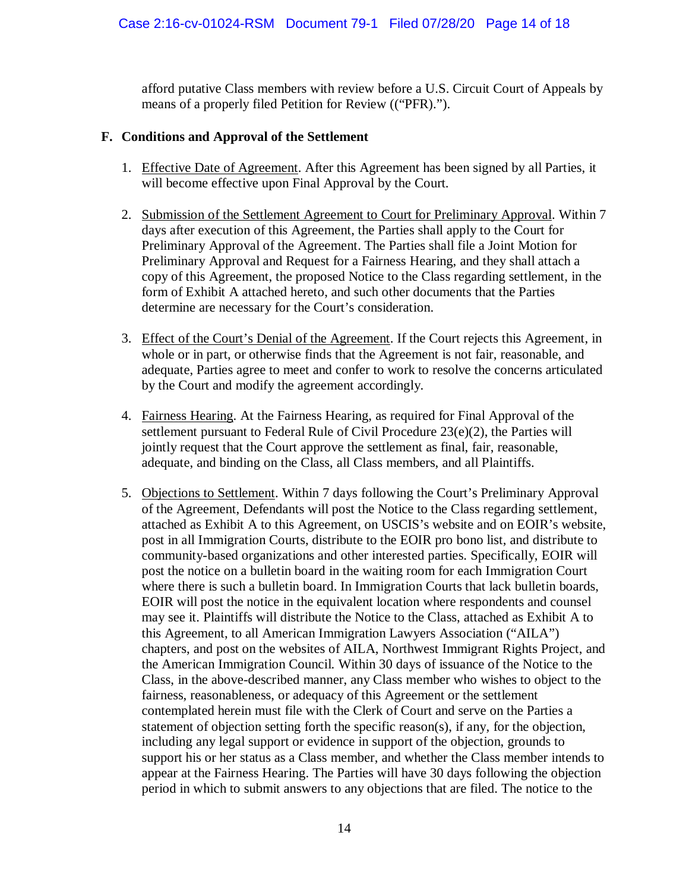afford putative Class members with review before a U.S. Circuit Court of Appeals by means of a properly filed Petition for Review (("PFR).").

### **F. Conditions and Approval of the Settlement**

- 1. Effective Date of Agreement. After this Agreement has been signed by all Parties, it will become effective upon Final Approval by the Court.
- 2. Submission of the Settlement Agreement to Court for Preliminary Approval. Within 7 days after execution of this Agreement, the Parties shall apply to the Court for Preliminary Approval of the Agreement. The Parties shall file a Joint Motion for Preliminary Approval and Request for a Fairness Hearing, and they shall attach a copy of this Agreement, the proposed Notice to the Class regarding settlement, in the form of Exhibit A attached hereto, and such other documents that the Parties determine are necessary for the Court's consideration.
- 3. Effect of the Court's Denial of the Agreement. If the Court rejects this Agreement, in whole or in part, or otherwise finds that the Agreement is not fair, reasonable, and adequate, Parties agree to meet and confer to work to resolve the concerns articulated by the Court and modify the agreement accordingly.
- 4. Fairness Hearing. At the Fairness Hearing, as required for Final Approval of the settlement pursuant to Federal Rule of Civil Procedure 23(e)(2), the Parties will jointly request that the Court approve the settlement as final, fair, reasonable, adequate, and binding on the Class, all Class members, and all Plaintiffs.
- 5. Objections to Settlement. Within 7 days following the Court's Preliminary Approval of the Agreement, Defendants will post the Notice to the Class regarding settlement, attached as Exhibit A to this Agreement, on USCIS's website and on EOIR's website, post in all Immigration Courts, distribute to the EOIR pro bono list, and distribute to community-based organizations and other interested parties. Specifically, EOIR will post the notice on a bulletin board in the waiting room for each Immigration Court where there is such a bulletin board. In Immigration Courts that lack bulletin boards, EOIR will post the notice in the equivalent location where respondents and counsel may see it. Plaintiffs will distribute the Notice to the Class, attached as Exhibit A to this Agreement, to all American Immigration Lawyers Association ("AILA") chapters, and post on the websites of AILA, Northwest Immigrant Rights Project, and the American Immigration Council. Within 30 days of issuance of the Notice to the Class, in the above-described manner, any Class member who wishes to object to the fairness, reasonableness, or adequacy of this Agreement or the settlement contemplated herein must file with the Clerk of Court and serve on the Parties a statement of objection setting forth the specific reason(s), if any, for the objection, including any legal support or evidence in support of the objection, grounds to support his or her status as a Class member, and whether the Class member intends to appear at the Fairness Hearing. The Parties will have 30 days following the objection period in which to submit answers to any objections that are filed. The notice to the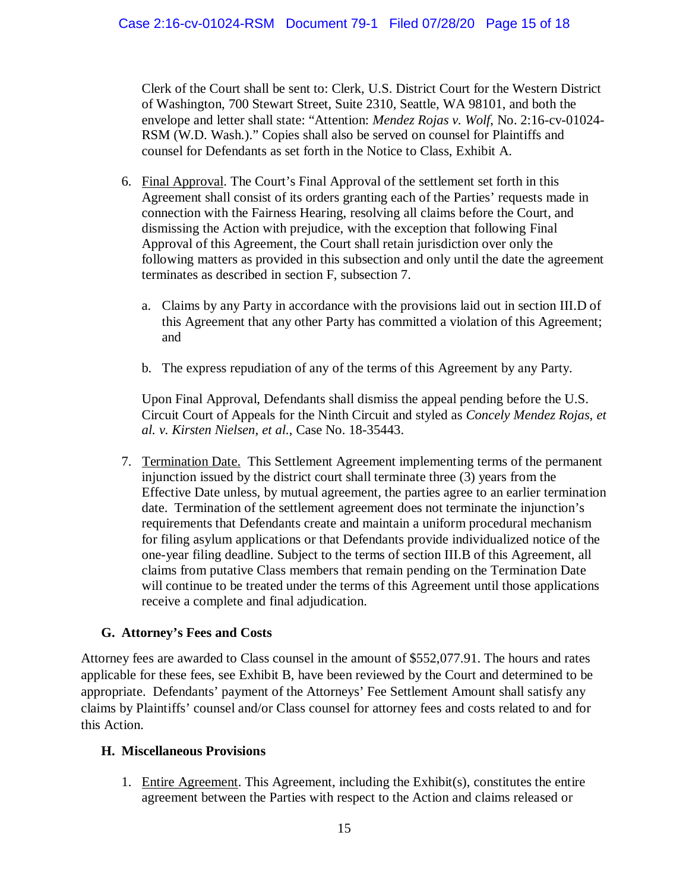Clerk of the Court shall be sent to: Clerk, U.S. District Court for the Western District of Washington, 700 Stewart Street, Suite 2310, Seattle, WA 98101, and both the envelope and letter shall state: "Attention: *Mendez Rojas v. Wolf*, No. 2:16-cv-01024- RSM (W.D. Wash.)." Copies shall also be served on counsel for Plaintiffs and counsel for Defendants as set forth in the Notice to Class, Exhibit A.

- 6. Final Approval. The Court's Final Approval of the settlement set forth in this Agreement shall consist of its orders granting each of the Parties' requests made in connection with the Fairness Hearing, resolving all claims before the Court, and dismissing the Action with prejudice, with the exception that following Final Approval of this Agreement, the Court shall retain jurisdiction over only the following matters as provided in this subsection and only until the date the agreement terminates as described in section F, subsection 7.
	- a. Claims by any Party in accordance with the provisions laid out in section III.D of this Agreement that any other Party has committed a violation of this Agreement; and
	- b. The express repudiation of any of the terms of this Agreement by any Party.

Upon Final Approval, Defendants shall dismiss the appeal pending before the U.S. Circuit Court of Appeals for the Ninth Circuit and styled as *Concely Mendez Rojas, et al. v. Kirsten Nielsen, et al.*, Case No. 18-35443.

7. Termination Date. This Settlement Agreement implementing terms of the permanent injunction issued by the district court shall terminate three (3) years from the Effective Date unless, by mutual agreement, the parties agree to an earlier termination date. Termination of the settlement agreement does not terminate the injunction's requirements that Defendants create and maintain a uniform procedural mechanism for filing asylum applications or that Defendants provide individualized notice of the one-year filing deadline. Subject to the terms of section III.B of this Agreement, all claims from putative Class members that remain pending on the Termination Date will continue to be treated under the terms of this Agreement until those applications receive a complete and final adjudication.

### **G. Attorney's Fees and Costs**

Attorney fees are awarded to Class counsel in the amount of \$552,077.91. The hours and rates applicable for these fees, see Exhibit B, have been reviewed by the Court and determined to be appropriate. Defendants' payment of the Attorneys' Fee Settlement Amount shall satisfy any claims by Plaintiffs' counsel and/or Class counsel for attorney fees and costs related to and for this Action.

### **H. Miscellaneous Provisions**

1. Entire Agreement. This Agreement, including the Exhibit(s), constitutes the entire agreement between the Parties with respect to the Action and claims released or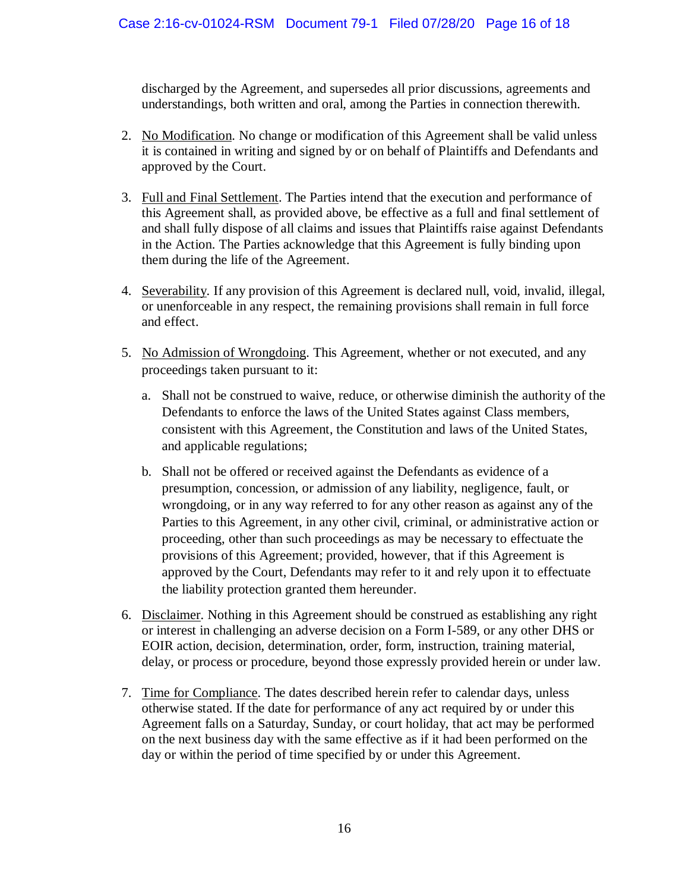discharged by the Agreement, and supersedes all prior discussions, agreements and understandings, both written and oral, among the Parties in connection therewith.

- 2. No Modification. No change or modification of this Agreement shall be valid unless it is contained in writing and signed by or on behalf of Plaintiffs and Defendants and approved by the Court.
- 3. Full and Final Settlement. The Parties intend that the execution and performance of this Agreement shall, as provided above, be effective as a full and final settlement of and shall fully dispose of all claims and issues that Plaintiffs raise against Defendants in the Action. The Parties acknowledge that this Agreement is fully binding upon them during the life of the Agreement.
- 4. Severability. If any provision of this Agreement is declared null, void, invalid, illegal, or unenforceable in any respect, the remaining provisions shall remain in full force and effect.
- 5. No Admission of Wrongdoing. This Agreement, whether or not executed, and any proceedings taken pursuant to it:
	- a. Shall not be construed to waive, reduce, or otherwise diminish the authority of the Defendants to enforce the laws of the United States against Class members, consistent with this Agreement, the Constitution and laws of the United States, and applicable regulations;
	- b. Shall not be offered or received against the Defendants as evidence of a presumption, concession, or admission of any liability, negligence, fault, or wrongdoing, or in any way referred to for any other reason as against any of the Parties to this Agreement, in any other civil, criminal, or administrative action or proceeding, other than such proceedings as may be necessary to effectuate the provisions of this Agreement; provided, however, that if this Agreement is approved by the Court, Defendants may refer to it and rely upon it to effectuate the liability protection granted them hereunder.
- 6. Disclaimer. Nothing in this Agreement should be construed as establishing any right or interest in challenging an adverse decision on a Form I-589, or any other DHS or EOIR action, decision, determination, order, form, instruction, training material, delay, or process or procedure, beyond those expressly provided herein or under law.
- 7. Time for Compliance. The dates described herein refer to calendar days, unless otherwise stated. If the date for performance of any act required by or under this Agreement falls on a Saturday, Sunday, or court holiday, that act may be performed on the next business day with the same effective as if it had been performed on the day or within the period of time specified by or under this Agreement.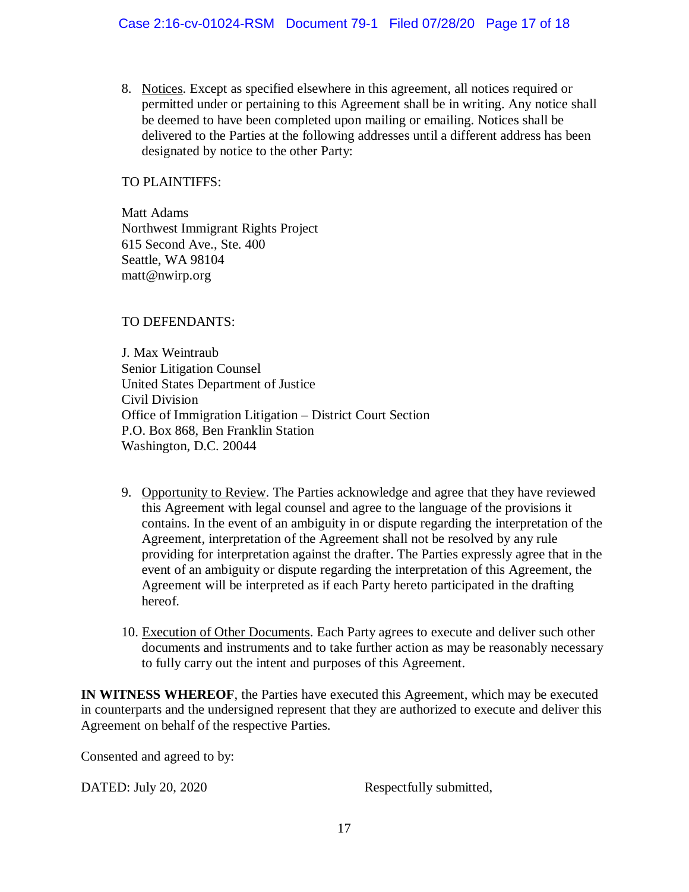#### Case 2:16-cv-01024-RSM Document 79-1 Filed 07/28/20 Page 17 of 18

8. Notices. Except as specified elsewhere in this agreement, all notices required or permitted under or pertaining to this Agreement shall be in writing. Any notice shall be deemed to have been completed upon mailing or emailing. Notices shall be delivered to the Parties at the following addresses until a different address has been designated by notice to the other Party:

TO PLAINTIFFS:

Matt Adams Northwest Immigrant Rights Project 615 Second Ave., Ste. 400 Seattle, WA 98104 matt@nwirp.org

TO DEFENDANTS:

J. Max Weintraub Senior Litigation Counsel United States Department of Justice Civil Division Office of Immigration Litigation – District Court Section P.O. Box 868, Ben Franklin Station Washington, D.C. 20044

- 9. Opportunity to Review. The Parties acknowledge and agree that they have reviewed this Agreement with legal counsel and agree to the language of the provisions it contains. In the event of an ambiguity in or dispute regarding the interpretation of the Agreement, interpretation of the Agreement shall not be resolved by any rule providing for interpretation against the drafter. The Parties expressly agree that in the event of an ambiguity or dispute regarding the interpretation of this Agreement, the Agreement will be interpreted as if each Party hereto participated in the drafting hereof.
- 10. Execution of Other Documents. Each Party agrees to execute and deliver such other documents and instruments and to take further action as may be reasonably necessary to fully carry out the intent and purposes of this Agreement.

**IN WITNESS WHEREOF**, the Parties have executed this Agreement, which may be executed in counterparts and the undersigned represent that they are authorized to execute and deliver this Agreement on behalf of the respective Parties.

Consented and agreed to by:

DATED: July 20, 2020 Respectfully submitted,